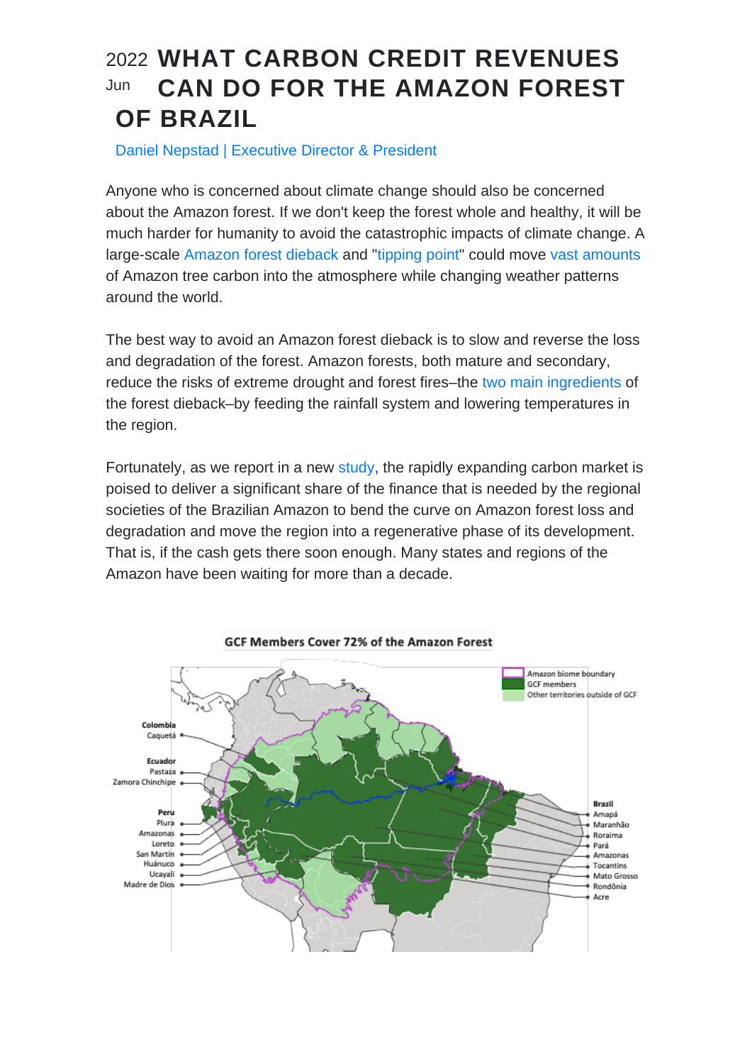## WHAT CARBON CREDIT REVENUES 2022 CAN DO FOR THE AMAZON FOREST OF BRAZIL Jun

## Daniel Nepstad | Executive Director & President

Anyone who is concerned about climate change should also be concerned about the Amazon forest. If we don't keep the forest whole and healthy, it will be much harder for humanity to avoid the catastrophic impacts of climate change. A large-scale [Amazon forest dieback](/home/earthin7/public_html/../Blog/16816) and "[tipping point"](https://www.science.org/doi/10.1126/sciadv.aba2949) could move [vast amounts](https://www.science.org/doi/10.1126/sciadv.aay1632) of Amazon tree carbon into the atmosphere while changing weather patterns around the world.

The best way to avoid an Amazon forest dieback is to slow and reverse the loss and degradation of the forest. Amazon forests, both mature and secondary, reduce the risks of extreme drought and forest fires–the [two main ingredients](/home/earthin7/public_html/../Blog/16816) of the forest dieback–by feeding the rainfall system and lowering temperatures in the region.

Fortunately, as we report in a new [study,](/home/earthin7/public_html/../Pub/23337) the rapidly expanding carbon market is poised to deliver a significant share of the finance that is needed by the regional societies of the Brazilian Amazon to bend the curve on Amazon forest loss and degradation and move the region into a regenerative phase of its development. That is, if the cash gets there soon enough. Many states and regions of the Amazon have been waiting for more than a decade.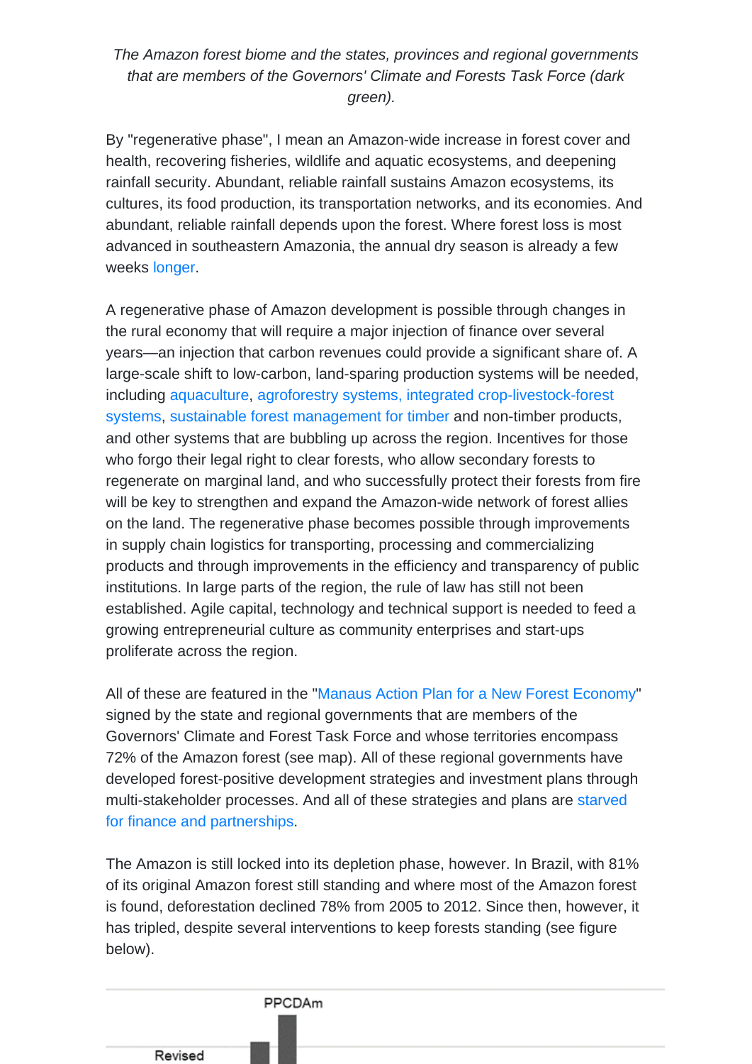The Amazon forest biome and the states, provinces and regional governments that are members of the Governors' Climate and Forests Task Force (dark green).

By "regenerative phase", I mean an Amazon-wide increase in forest cover and health, recovering fisheries, wildlife and aquatic ecosystems, and deepening rainfall security. Abundant, reliable rainfall sustains Amazon ecosystems, its cultures, its food production, its transportation networks, and its economies. And abundant, reliable rainfall depends upon the forest. Where forest loss is most advanced in southeastern Amazonia, the annual dry season is already a few weeks [longer.](https://rmets.onlinelibrary.wiley.com/doi/10.1002/joc.6335)

A regenerative phase of Amazon development is possible through changes in the rural economy that will require a major injection of finance over several years—an injection that carbon revenues could provide a significant share of. A large-scale shift to low-carbon, land-sparing production systems will be needed, including [aquaculture](/home/earthin7/public_html/../Pub/21189), [agroforestry systems,](https://news.mongabay.com/by/jonah-wittkamper-alexander-borges-rose-and-denis-minev/) [integrated crop-livestock-forest](https://www.sciencedirect.com/science/article/abs/pii/S016788091400471X) [systems,](https://www.sciencedirect.com/science/article/abs/pii/S016788091400471X) [sustainable forest management for timber](https://www.academia.edu/32457522/Managing_the_Amazon_Timber_Industry) and non-timber products, and other systems that are bubbling up across the region. Incentives for those who forgo their legal right to clear forests, who allow secondary forests to regenerate on marginal land, and who successfully protect their forests from fire will be key to strengthen and expand the Amazon-wide network of forest allies on the land. The regenerative phase becomes possible through improvements in supply chain logistics for transporting, processing and commercializing products and through improvements in the efficiency and transparency of public institutions. In large parts of the region, the rule of law has still not been established. Agile capital, technology and technical support is needed to feed a growing entrepreneurial culture as community enterprises and start-ups proliferate across the region.

All of these are featured in the "[Manaus Action Plan for a New Forest Economy"](https://legal-planet.org/wp-content/uploads/2022/03/Manaus-Action-Plan-for-a-New-Forest-Economy.pdf) signed by the state and regional governments that are members of the Governors' Climate and Forest Task Force and whose territories encompass 72% of the Amazon forest (see map). All of these regional governments have developed forest-positive development strategies and investment plans through multi-stakeholder processes. And all of these strategies and plans are [starved](/home/earthin7/public_html/../Pub/18127) [for finance and partnerships.](/home/earthin7/public_html/../Pub/18127)

The Amazon is still locked into its depletion phase, however. In Brazil, with 81% of its original Amazon forest still standing and where most of the Amazon forest is found, deforestation declined 78% from 2005 to 2012. Since then, however, it has tripled, despite several interventions to keep forests standing (see figure below).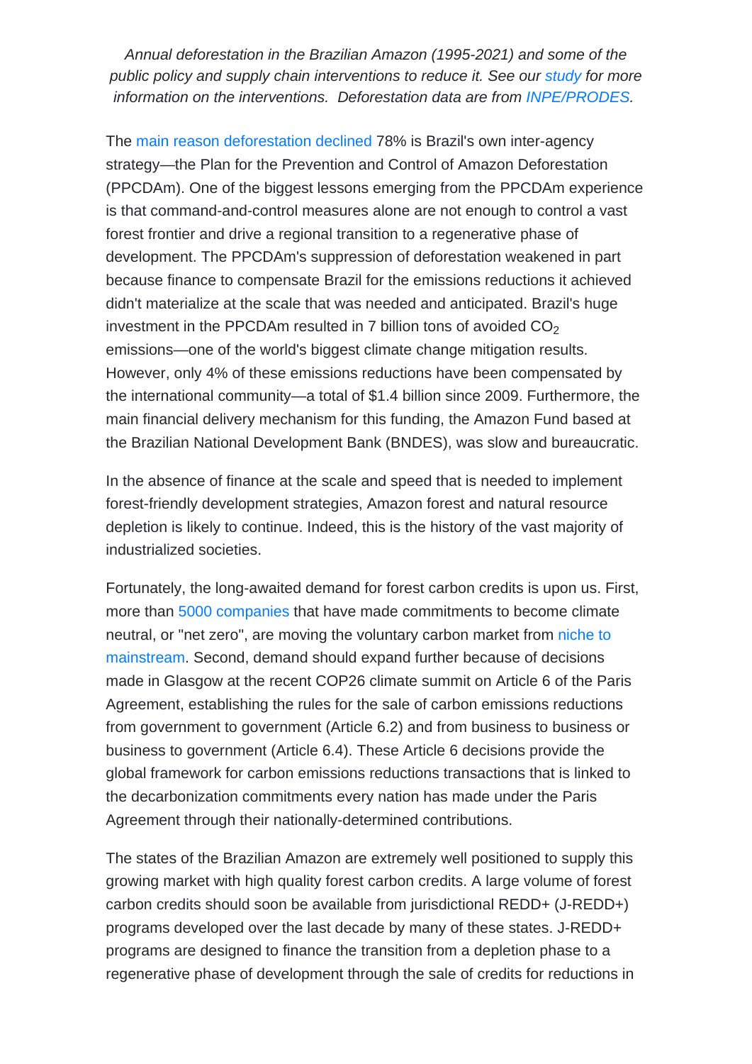Annual deforestation in the Brazilian Amazon (1995-2021) and some of the public policy and supply chain interventions to reduce it. See our [study](/home/earthin7/public_html/../uploads/2022/05/The New Carbon Market and the Brazilian Amazon Forest Report_EN.pdf) for more information on the interventions. Deforestation data are from [INPE/PRODES.](http://www.obt.inpe.br/OBT/assuntos/programas/amazonia/prodes)

The [main reason deforestation declined](/home/earthin7/public_html/../Pub/1211) 78% is Brazil's own inter-agency strategy—the Plan for the Prevention and Control of Amazon Deforestation (PPCDAm). One of the biggest lessons emerging from the PPCDAm experience is that command-and-control measures alone are not enough to control a vast forest frontier and drive a regional transition to a regenerative phase of development. The PPCDAm's suppression of deforestation weakened in part because finance to compensate Brazil for the emissions reductions it achieved didn't materialize at the scale that was needed and anticipated. Brazil's huge investment in the PPCDAm resulted in 7 billion tons of avoided  $\mathsf{CO}_2$ emissions—one of the world's biggest climate change mitigation results. However, only 4% of these emissions reductions have been compensated by the international community—a total of \$1.4 billion since 2009. Furthermore, the main financial delivery mechanism for this funding, the Amazon Fund based at the Brazilian National Development Bank (BNDES), was slow and bureaucratic.

In the absence of finance at the scale and speed that is needed to implement forest-friendly development strategies, Amazon forest and natural resource depletion is likely to continue. Indeed, this is the history of the vast majority of industrialized societies.

Fortunately, the long-awaited demand for forest carbon credits is upon us. First, more than [5000 companies](https://unfccc.int/climate-action/race-to-zero-campaign) that have made commitments to become climate neutral, or "net zero", are moving the voluntary carbon market from [niche to](https://www.ecosystemmarketplace.com/carbon-markets/) [mainstream.](https://www.ecosystemmarketplace.com/carbon-markets/) Second, demand should expand further because of decisions made in Glasgow at the recent COP26 climate summit on Article 6 of the Paris Agreement, establishing the rules for the sale of carbon emissions reductions from government to government (Article 6.2) and from business to business or business to government (Article 6.4). These Article 6 decisions provide the global framework for carbon emissions reductions transactions that is linked to the decarbonization commitments every nation has made under the Paris Agreement through their nationally-determined contributions.

The states of the Brazilian Amazon are extremely well positioned to supply this growing market with high quality forest carbon credits. A large volume of forest carbon credits should soon be available from jurisdictional REDD+ (J-REDD+) programs developed over the last decade by many of these states. J-REDD+ programs are designed to finance the transition from a depletion phase to a regenerative phase of development through the sale of credits for reductions in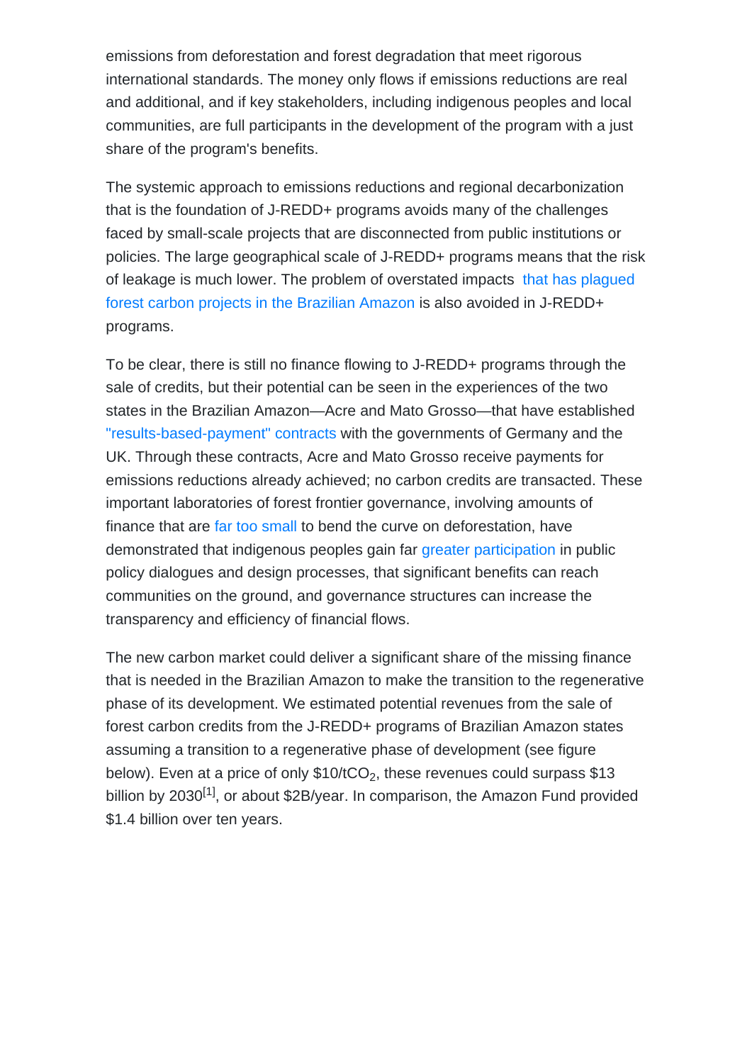emissions from deforestation and forest degradation that meet rigorous international standards. The money only flows if emissions reductions are real and additional, and if key stakeholders, including indigenous peoples and local communities, are full participants in the development of the program with a just share of the program's benefits.

The systemic approach to emissions reductions and regional decarbonization that is the foundation of J-REDD+ programs avoids many of the challenges faced by small-scale projects that are disconnected from public institutions or policies. The large geographical scale of J-REDD+ programs means that the risk of leakage is much lower. The problem of overstated impacts [that has plagued](https://www.pnas.org/doi/10.1073/pnas.2004334117) [forest carbon projects in the Brazilian Amazon](https://www.pnas.org/doi/10.1073/pnas.2004334117) is also avoided in J-REDD+ programs.

To be clear, there is still no finance flowing to J-REDD+ programs through the sale of credits, but their potential can be seen in the experiences of the two states in the Brazilian Amazon—Acre and Mato Grosso—that have established ["results-based-payment" contracts](https://www.giz.de/en/worldwide/73732.html) with the governments of Germany and the UK. Through these contracts, Acre and Mato Grosso receive payments for emissions reductions already achieved; no carbon credits are transacted. These important laboratories of forest frontier governance, involving amounts of finance that are [far too small](/home/earthin7/public_html/../Pub/23337) to bend the curve on deforestation, have demonstrated that indigenous peoples gain far [greater participation](/home/earthin7/public_html/../Pub/7992) in public policy dialogues and design processes, that significant benefits can reach communities on the ground, and governance structures can increase the transparency and efficiency of financial flows.

The new carbon market could deliver a significant share of the missing finance that is needed in the Brazilian Amazon to make the transition to the regenerative phase of its development. We estimated potential revenues from the sale of forest carbon credits from the J-REDD+ programs of Brazilian Amazon states assuming a transition to a regenerative phase of development (see figure below). Even at a price of only  $\$10\text{/tCO}_2$ , these revenues could surpass  $\$13$ billion by 2030<sup>[1]</sup>, or about \$2B/year. In comparison, the Amazon Fund provided \$1.4 billion over ten years.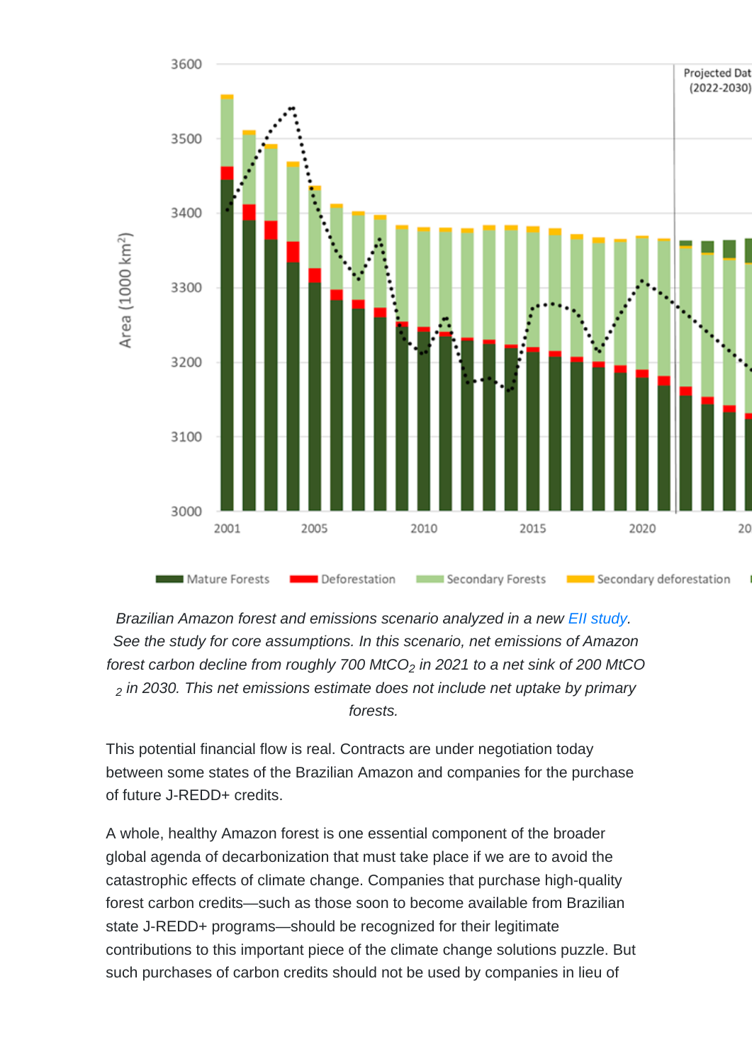Brazilian Amazon forest and emissions scenario analyzed in a new Ell study. See the study for core assumptions. In this scenario, net emissions of Amazon forest carbon decline from roughly 700  $M<sub>1</sub>CO<sub>2</sub>$  in 2021 to a net sink of 200  $M<sub>1</sub>CO$  $2$  in 2030. This net emissions estimate does not include net uptake by primary forests.

This potential financial flow is real. Contracts are under negotiation today between some states of the Brazilian Amazon and companies for the purchase of future J-REDD+ credits.

A whole, healthy Amazon forest is one essential component of the broader global agenda of decarbonization that must take place if we are to avoid the catastrophic effects of climate change. Companies that purchase high-quality forest carbon credits—such as those soon to become available from Brazilian state J-REDD+ programs—should be recognized for their legitimate contributions to this important piece of the climate change solutions puzzle. But such purchases of carbon credits should not be used by companies in lieu of